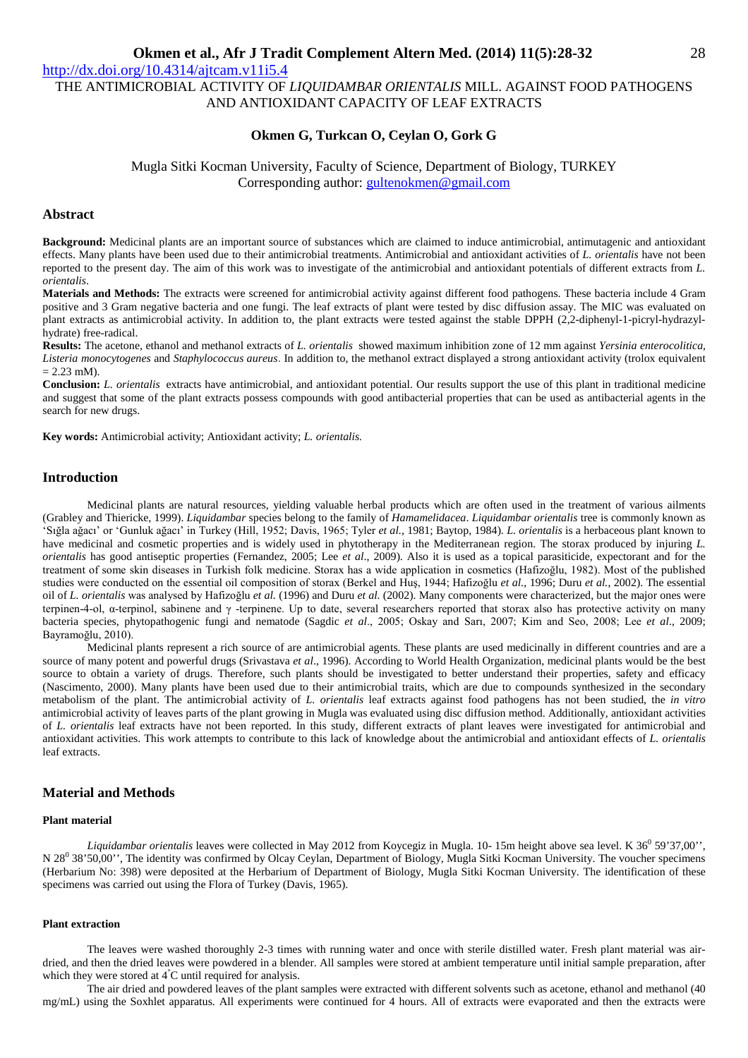http://dx.doi.org/10.4314/ajtcam.v11i5.4

THE ANTIMICROBIAL ACTIVITY OF *LIQUIDAMBAR ORIENTALIS* MILL. AGAINST FOOD PATHOGENS AND ANTIOXIDANT CAPACITY OF LEAF EXTRACTS

## **Okmen G, Turkcan O, Ceylan O, Gork G**

Mugla Sitki Kocman University, Faculty of Science, Department of Biology, TURKEY Corresponding author: gultenokmen@gmail.com

## **Abstract**

**Background:** Medicinal plants are an important source of substances which are claimed to induce antimicrobial, antimutagenic and antioxidant effects. Many plants have been used due to their antimicrobial treatments. Antimicrobial and antioxidant activities of *L. orientalis* have not been reported to the present day. The aim of this work was to investigate of the antimicrobial and antioxidant potentials of different extracts from *L. orientalis*.

**Materials and Methods:** The extracts were screened for antimicrobial activity against different food pathogens. These bacteria include 4 Gram positive and 3 Gram negative bacteria and one fungi. The leaf extracts of plant were tested by disc diffusion assay. The MIC was evaluated on plant extracts as antimicrobial activity. In addition to, the plant extracts were tested against the stable DPPH (2,2-diphenyl-1-picryl-hydrazylhydrate) free-radical.

**Results:** The acetone, ethanol and methanol extracts of *L. orientalis* showed maximum inhibition zone of 12 mm against *Yersinia enterocolitica, Listeria monocytogenes* and *Staphylococcus aureus*. In addition to, the methanol extract displayed a strong antioxidant activity (trolox equivalent  $= 2.23$  mM).

**Conclusion:** *L. orientalis* extracts have antimicrobial, and antioxidant potential. Our results support the use of this plant in traditional medicine and suggest that some of the plant extracts possess compounds with good antibacterial properties that can be used as antibacterial agents in the search for new drugs.

**Key words:** Antimicrobial activity; Antioxidant activity; *L. orientalis.*

## **Introduction**

Medicinal plants are natural resources, yielding valuable herbal products which are often used in the treatment of various ailments (Grabley and Thiericke, 1999). *Liquidambar* species belong to the family of *Hamamelidacea*. *Liquidambar orientalis* tree is commonly known as 'Sığla ağacı' or 'Gunluk ağacı' in Turkey (Hill, 1952; Davis, 1965; Tyler *et al.*, 1981; Baytop, 1984). *L. orientalis* is a herbaceous plant known to have medicinal and cosmetic properties and is widely used in phytotherapy in the Mediterranean region. The storax produced by injuring *L. orientalis* has good antiseptic properties (Fernandez, 2005; Lee *et al*., 2009). Also it is used as a topical parasiticide, expectorant and for the treatment of some skin diseases in Turkish folk medicine. Storax has a wide application in cosmetics (Hafizoğlu, 1982). Most of the published studies were conducted on the essential oil composition of storax (Berkel and Huş, 1944; Hafizoğlu *et al.*, 1996; Duru *et al.*, 2002). The essential oil of *L. orientalis* was analysed by Hafizoğlu *et al.* (1996) and Duru *et al.* (2002). Many components were characterized, but the major ones were terpinen-4-ol, α-terpinol, sabinene and γ -terpinene. Up to date, several researchers reported that storax also has protective activity on many bacteria species, phytopathogenic fungi and nematode (Sagdic *et al*., 2005; Oskay and Sarı, 2007; Kim and Seo, 2008; Lee *et al*., 2009; Bayramoğlu, 2010).

Medicinal plants represent a rich source of are antimicrobial agents. These plants are used medicinally in different countries and are a source of many potent and powerful drugs (Srivastava *et al*., 1996). According to World Health Organization, medicinal plants would be the best source to obtain a variety of drugs. Therefore, such plants should be investigated to better understand their properties, safety and efficacy (Nascimento, 2000). Many plants have been used due to their antimicrobial traits, which are due to compounds synthesized in the secondary metabolism of the plant. The antimicrobial activity of *L. orientalis* leaf extracts against food pathogens has not been studied, the *in vitro* antimicrobial activity of leaves parts of the plant growing in Mugla was evaluated using disc diffusion method. Additionally, antioxidant activities of *L. orientalis* leaf extracts have not been reported. In this study, different extracts of plant leaves were investigated for antimicrobial and antioxidant activities. This work attempts to contribute to this lack of knowledge about the antimicrobial and antioxidant effects of *L. orientalis* leaf extracts.

## **Material and Methods**

### **Plant material**

Liquidambar orientalis leaves were collected in May 2012 from Koycegiz in Mugla. 10-15m height above sea level. K 36<sup>0</sup> 59'37,00", N 28<sup>0</sup> 38'50,00'', The identity was confirmed by Olcay Ceylan, Department of Biology, Mugla Sitki Kocman University. The voucher specimens (Herbarium No: 398) were deposited at the Herbarium of Department of Biology, Mugla Sitki Kocman University. The identification of these specimens was carried out using the Flora of Turkey (Davis, 1965).

### **Plant extraction**

The leaves were washed thoroughly 2-3 times with running water and once with sterile distilled water. Fresh plant material was airdried, and then the dried leaves were powdered in a blender. All samples were stored at ambient temperature until initial sample preparation, after which they were stored at  $4^{\circ}$ C until required for analysis.

The air dried and powdered leaves of the plant samples were extracted with different solvents such as acetone, ethanol and methanol (40 mg/mL) using the Soxhlet apparatus. All experiments were continued for 4 hours. All of extracts were evaporated and then the extracts were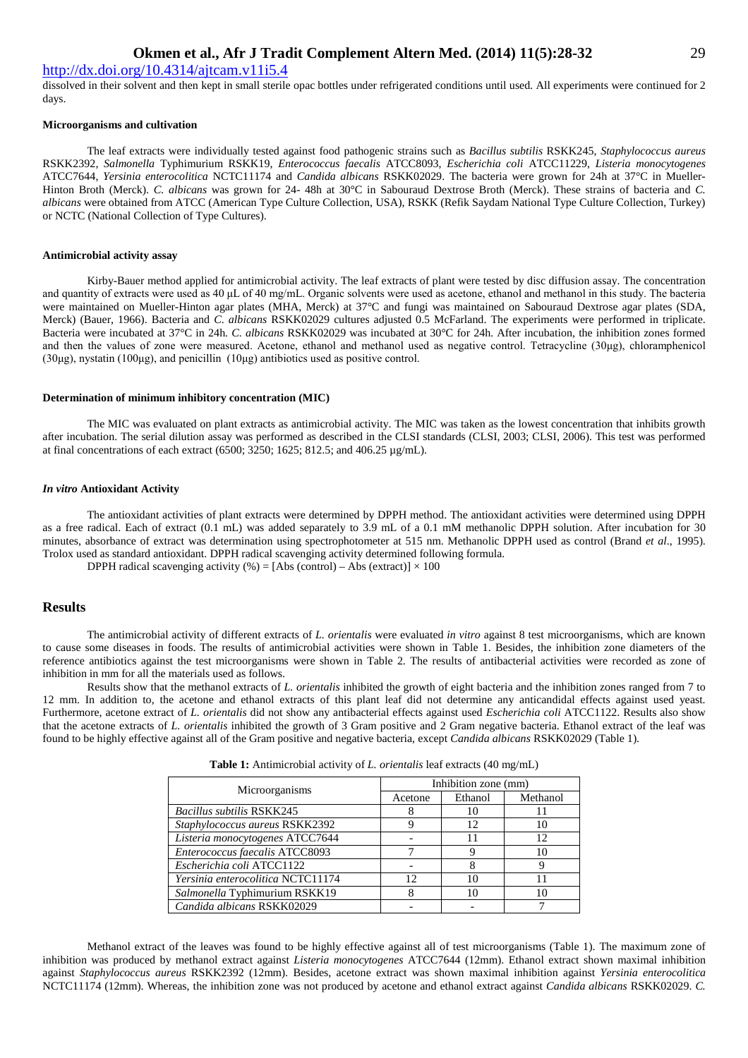## http://dx.doi.org/10.4314/ajtcam.v11i5.4

dissolved in their solvent and then kept in small sterile opac bottles under refrigerated conditions until used. All experiments were continued for 2 days.

#### **Microorganisms and cultivation**

The leaf extracts were individually tested against food pathogenic strains such as *Bacillus subtilis* RSKK245, *Staphylococcus aureus* RSKK2392, *Salmonella* Typhimurium RSKK19, *Enterococcus faecalis* ATCC8093, *Escherichia coli* ATCC11229, *Listeria monocytogenes* ATCC7644, *Yersinia enterocolitica* NCTC11174 and *Candida albicans* RSKK02029. The bacteria were grown for 24h at 37°C in Mueller-Hinton Broth (Merck). *C. albicans* was grown for 24- 48h at 30°C in Sabouraud Dextrose Broth (Merck). These strains of bacteria and *C. albicans* were obtained from ATCC (American Type Culture Collection, USA), RSKK (Refik Saydam National Type Culture Collection, Turkey) or NCTC (National Collection of Type Cultures).

### **Antimicrobial activity assay**

Kirby-Bauer method applied for antimicrobial activity. The leaf extracts of plant were tested by disc diffusion assay. The concentration and quantity of extracts were used as 40 μL of 40 mg/mL. Organic solvents were used as acetone, ethanol and methanol in this study. The bacteria were maintained on Mueller-Hinton agar plates (MHA, Merck) at 37°C and fungi was maintained on Sabouraud Dextrose agar plates (SDA, Merck) (Bauer, 1966). Bacteria and *C. albicans* RSKK02029 cultures adjusted 0.5 McFarland. The experiments were performed in triplicate. Bacteria were incubated at 37°C in 24h. *C. albicans* RSKK02029 was incubated at 30°C for 24h*.* After incubation, the inhibition zones formed and then the values of zone were measured. Acetone, ethanol and methanol used as negative control. Tetracycline (30μg), chloramphenicol (30μg), nystatin (100μg), and penicillin (10μg) antibiotics used as positive control.

#### **Determination of minimum inhibitory concentration (MIC)**

The MIC was evaluated on plant extracts as antimicrobial activity. The MIC was taken as the lowest concentration that inhibits growth after incubation. The serial dilution assay was performed as described in the CLSI standards (CLSI, 2003; CLSI, 2006). This test was performed at final concentrations of each extract (6500; 3250; 1625; 812.5; and 406.25 µg/mL).

#### *In vitro* **Antioxidant Activity**

The antioxidant activities of plant extracts were determined by DPPH method. The antioxidant activities were determined using DPPH as a free radical. Each of extract (0.1 mL) was added separately to 3.9 mL of a 0.1 mM methanolic DPPH solution. After incubation for 30 minutes, absorbance of extract was determination using spectrophotometer at 515 nm. Methanolic DPPH used as control (Brand *et al*., 1995). Trolox used as standard antioxidant. DPPH radical scavenging activity determined following formula.

DPPH radical scavenging activity (%) = [Abs (control) – Abs (extract)]  $\times$  100

## **Results**

The antimicrobial activity of different extracts of *L. orientalis* were evaluated *in vitro* against 8 test microorganisms, which are known to cause some diseases in foods. The results of antimicrobial activities were shown in Table 1. Besides, the inhibition zone diameters of the reference antibiotics against the test microorganisms were shown in Table 2. The results of antibacterial activities were recorded as zone of inhibition in mm for all the materials used as follows.

Results show that the methanol extracts of *L. orientalis* inhibited the growth of eight bacteria and the inhibition zones ranged from 7 to 12 mm. In addition to, the acetone and ethanol extracts of this plant leaf did not determine any anticandidal effects against used yeast. Furthermore, acetone extract of *L. orientalis* did not show any antibacterial effects against used *Escherichia coli* ATCC1122. Results also show that the acetone extracts of *L. orientalis* inhibited the growth of 3 Gram positive and 2 Gram negative bacteria. Ethanol extract of the leaf was found to be highly effective against all of the Gram positive and negative bacteria, except *Candida albicans* RSKK02029 (Table 1).

| Microorganisms                    | Inhibition zone (mm) |         |          |  |
|-----------------------------------|----------------------|---------|----------|--|
|                                   | Acetone              | Ethanol | Methanol |  |
| <b>Bacillus subtilis RSKK245</b>  |                      | 10      |          |  |
| Staphylococcus aureus RSKK2392    |                      | 12      |          |  |
| Listeria monocytogenes ATCC7644   |                      |         | 12       |  |
| Enterococcus faecalis ATCC8093    |                      |         | 10       |  |
| Escherichia coli ATCC1122         |                      |         |          |  |
| Yersinia enterocolitica NCTC11174 | 12                   |         |          |  |
| Salmonella Typhimurium RSKK19     |                      |         |          |  |
| Candida albicans RSKK02029        |                      |         |          |  |

**Table 1:** Antimicrobial activity of *L. orientalis* leaf extracts (40 mg/mL)

Methanol extract of the leaves was found to be highly effective against all of test microorganisms (Table 1). The maximum zone of inhibition was produced by methanol extract against *Listeria monocytogenes* ATCC7644 (12mm). Ethanol extract shown maximal inhibition against *Staphylococcus aureus* RSKK2392 (12mm). Besides, acetone extract was shown maximal inhibition against *Yersinia enterocolitica* NCTC11174 (12mm). Whereas, the inhibition zone was not produced by acetone and ethanol extract against *Candida albicans* RSKK02029. *C.*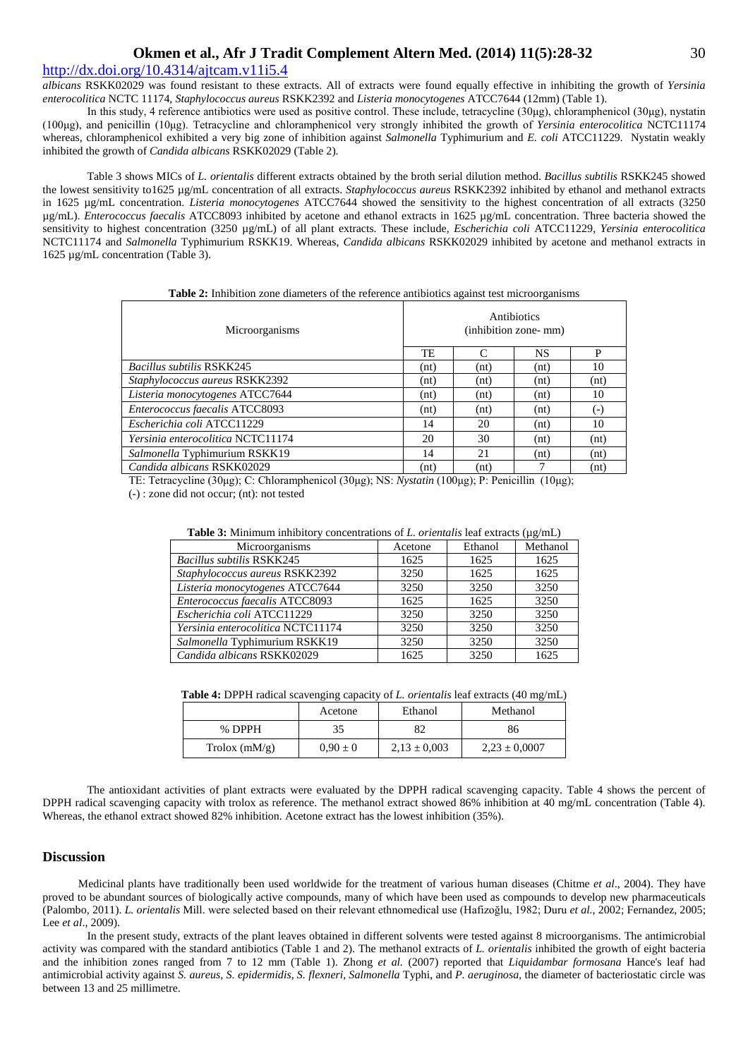## http://dx.doi.org/10.4314/ajtcam.v11i5.4

*albicans* RSKK02029 was found resistant to these extracts. All of extracts were found equally effective in inhibiting the growth of *Yersinia enterocolitica* NCTC 11174, *Staphylococcus aureus* RSKK2392 and *Listeria monocytogenes* ATCC7644 (12mm) (Table 1).

In this study, 4 reference antibiotics were used as positive control. These include, tetracycline (30μg), chloramphenicol (30μg), nystatin (100μg), and penicillin (10μg). Tetracycline and chloramphenicol very strongly inhibited the growth of *Yersinia enterocolitica* NCTC11174 whereas, chloramphenicol exhibited a very big zone of inhibition against *Salmonella* Typhimurium and *E. coli* ATCC11229*.* Nystatin weakly inhibited the growth of *Candida albicans* RSKK02029 (Table 2).

Table 3 shows MICs of *L. orientalis* different extracts obtained by the broth serial dilution method. *Bacillus subtilis* RSKK245 showed the lowest sensitivity to1625 µg/mL concentration of all extracts. *Staphylococcus aureus* RSKK2392 inhibited by ethanol and methanol extracts in 1625 µg/mL concentration. *Listeria monocytogenes* ATCC7644 showed the sensitivity to the highest concentration of all extracts (3250 µg/mL). *Enterococcus faecalis* ATCC8093 inhibited by acetone and ethanol extracts in 1625 µg/mL concentration. Three bacteria showed the sensitivity to highest concentration (3250 µg/mL) of all plant extracts. These include, *Escherichia coli* ATCC11229, *Yersinia enterocolitica* NCTC11174 and *Salmonella* Typhimurium RSKK19. Whereas, *Candida albicans* RSKK02029 inhibited by acetone and methanol extracts in 1625 µg/mL concentration (Table 3).

| <b>Table 2:</b> Inhibition zone diameters of the reference antibiotics against test microorganisms |  |  |  |
|----------------------------------------------------------------------------------------------------|--|--|--|
|                                                                                                    |  |  |  |

| Microorganisms                           | Antibiotics<br>(inhibition zone- mm) |               |      |                    |
|------------------------------------------|--------------------------------------|---------------|------|--------------------|
|                                          | TE                                   | $\mathcal{C}$ | NS   | P                  |
| <b>Bacillus subtilis RSKK245</b>         | (nt)                                 | (nt)          | (nt) | 10                 |
| Staphylococcus aureus RSKK2392           | (nt)                                 | (nt)          | (nt) | (nt)               |
| Listeria monocytogenes ATCC7644          | (nt)                                 | (nt)          | (nt) | 10                 |
| Enterococcus faecalis ATCC8093           | (nt)                                 | (nt)          | (nt) | $(\textnormal{-})$ |
| Escherichia coli ATCC11229               | 14                                   | 20            | (nt) | 10                 |
| <i>Yersinia enterocolitica NCTC11174</i> | 20                                   | 30            | (nt) | (nt)               |
| Salmonella Typhimurium RSKK19            | 14                                   | 21            | (nt) | (nt)               |
| Candida albicans RSKK02029               | (nt)                                 | (nt)          |      | (nt)               |

TE: Tetracycline (30μg); C: Chloramphenicol (30μg); NS: *Nystatin* (100μg); P: Penicillin (10μg);

(-) : zone did not occur; (nt): not tested

| Table 3: Minimum inhibitory concentrations of $L$ . orientalis leaf extracts ( $\mu$ g/mL) |         |         |          |  |
|--------------------------------------------------------------------------------------------|---------|---------|----------|--|
| Microorganisms                                                                             | Acetone | Ethanol | Methanol |  |
| <b>Bacillus subtilis RSKK245</b>                                                           | 1625    | 1625    | 1625     |  |
| Staphylococcus aureus RSKK2392                                                             | 3250    | 1625    | 1625     |  |
| Listeria monocytogenes ATCC7644                                                            | 3250    | 3250    | 3250     |  |
| Enterococcus faecalis ATCC8093                                                             | 1625    | 1625    | 3250     |  |
| Escherichia coli ATCC11229                                                                 | 3250    | 3250    | 3250     |  |
| Yersinia enterocolitica NCTC11174                                                          | 3250    | 3250    | 3250     |  |
| Salmonella Typhimurium RSKK19                                                              | 3250    | 3250    | 3250     |  |
| Candida albicans RSKK02029                                                                 | 1625    | 3250    | 1625     |  |

**Table 4:** DPPH radical scavenging capacity of *L. orientalis* leaf extracts (40 mg/mL)

|                 | Acetone      | Ethanol          | Methanol          |
|-----------------|--------------|------------------|-------------------|
| % DPPH          | 35           | 82               | 86                |
| Trolox $(mM/g)$ | $0.90 \pm 0$ | $2.13 \pm 0.003$ | $2,23 \pm 0,0007$ |

The antioxidant activities of plant extracts were evaluated by the DPPH radical scavenging capacity. Table 4 shows the percent of DPPH radical scavenging capacity with trolox as reference. The methanol extract showed 86% inhibition at 40 mg/mL concentration (Table 4). Whereas, the ethanol extract showed 82% inhibition. Acetone extract has the lowest inhibition (35%).

#### **Discussion**

Medicinal plants have traditionally been used worldwide for the treatment of various human diseases (Chitme *et al*., 2004). They have proved to be abundant sources of biologically active compounds, many of which have been used as compounds to develop new pharmaceuticals (Palombo, 2011). *L. orientalis* Mill. were selected based on their relevant ethnomedical use (Hafizoğlu, 1982; Duru *et al.*, 2002; Fernandez, 2005; Lee *et al*., 2009).

In the present study, extracts of the plant leaves obtained in different solvents were tested against 8 microorganisms. The antimicrobial activity was compared with the standard antibiotics (Table 1 and 2). The methanol extracts of *L. orientalis* inhibited the growth of eight bacteria and the inhibition zones ranged from 7 to 12 mm (Table 1). Zhong *et al.* (2007) reported that *Liquidambar formosana* Hance's leaf had antimicrobial activity against *S. aureus, S. epidermidis, S. flexneri, Salmonella* Typhi, and *P. aeruginosa*, the diameter of bacteriostatic circle was between 13 and 25 millimetre.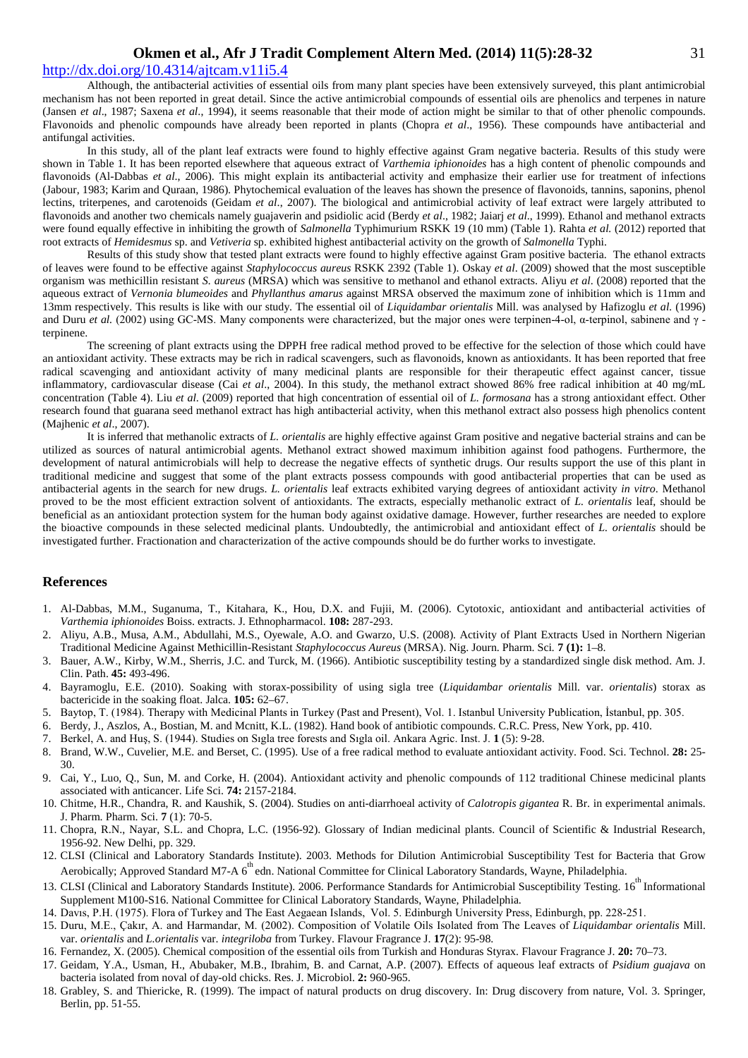## http://dx.doi.org/10.4314/ajtcam.v11i5.4

Although, the antibacterial activities of essential oils from many plant species have been extensively surveyed, this plant antimicrobial mechanism has not been reported in great detail. Since the active antimicrobial compounds of essential oils are phenolics and terpenes in nature (Jansen *et al*., 1987; Saxena *et al*., 1994), it seems reasonable that their mode of action might be similar to that of other phenolic compounds. Flavonoids and phenolic compounds have already been reported in plants (Chopra *et al*., 1956). These compounds have antibacterial and antifungal activities.

In this study, all of the plant leaf extracts were found to highly effective against Gram negative bacteria. Results of this study were shown in Table 1. It has been reported elsewhere that aqueous extract of *Varthemia iphionoides* has a high content of phenolic compounds and flavonoids (Al-Dabbas *et al.*, 2006). This might explain its antibacterial activity and emphasize their earlier use for treatment of infections (Jabour, 1983; Karim and Quraan, 1986). Phytochemical evaluation of the leaves has shown the presence of flavonoids, tannins, saponins, phenol lectins, triterpenes, and carotenoids (Geidam *et al*., 2007). The biological and antimicrobial activity of leaf extract were largely attributed to flavonoids and another two chemicals namely guajaverin and psidiolic acid (Berdy *et al*., 1982; Jaiarj *et al*., 1999). Ethanol and methanol extracts were found equally effective in inhibiting the growth of *Salmonella* Typhimurium RSKK 19 (10 mm) (Table 1). Rahta *et al.* (2012) reported that root extracts of *Hemidesmus* sp. and *Vetiveria* sp. exhibited highest antibacterial activity on the growth of *Salmonella* Typhi.

Results of this study show that tested plant extracts were found to highly effective against Gram positive bacteria. The ethanol extracts of leaves were found to be effective against *Staphylococcus aureus* RSKK 2392 (Table 1). Oskay *et al*. (2009) showed that the most susceptible organism was methicillin resistant *S. aureus* (MRSA) which was sensitive to methanol and ethanol extracts. Aliyu *et al*. (2008) reported that the aqueous extract of *Vernonia blumeoides* and *Phyllanthus amarus* against MRSA observed the maximum zone of inhibition which is 11mm and 13mm respectively. This results is like with our study. The essential oil of *Liquidambar orientalis* Mill. was analysed by Hafizoglu *et al.* (1996) and Duru *et al.* (2002) using GC-MS. Many components were characterized, but the major ones were terpinen-4-ol, α-terpinol, sabinene and γ terpinene.

The screening of plant extracts using the DPPH free radical method proved to be effective for the selection of those which could have an antioxidant activity. These extracts may be rich in radical scavengers, such as flavonoids, known as antioxidants. It has been reported that free radical scavenging and antioxidant activity of many medicinal plants are responsible for their therapeutic effect against cancer, tissue inflammatory, cardiovascular disease (Cai *et al*., 2004). In this study, the methanol extract showed 86% free radical inhibition at 40 mg/mL concentration (Table 4). Liu *et al*. (2009) reported that high concentration of essential oil of *L. formosana* has a strong antioxidant effect. Other research found that guarana seed methanol extract has high antibacterial activity, when this methanol extract also possess high phenolics content (Majhenic *et al*., 2007).

It is inferred that methanolic extracts of *L. orientalis* are highly effective against Gram positive and negative bacterial strains and can be utilized as sources of natural antimicrobial agents. Methanol extract showed maximum inhibition against food pathogens. Furthermore, the development of natural antimicrobials will help to decrease the negative effects of synthetic drugs. Our results support the use of this plant in traditional medicine and suggest that some of the plant extracts possess compounds with good antibacterial properties that can be used as antibacterial agents in the search for new drugs. *L. orientalis* leaf extracts exhibited varying degrees of antioxidant activity *in vitro*. Methanol proved to be the most efficient extraction solvent of antioxidants. The extracts, especially methanolic extract of *L. orientalis* leaf, should be beneficial as an antioxidant protection system for the human body against oxidative damage. However, further researches are needed to explore the bioactive compounds in these selected medicinal plants. Undoubtedly, the antimicrobial and antioxidant effect of *L. orientalis* should be investigated further. Fractionation and characterization of the active compounds should be do further works to investigate.

### **References**

- 1. Al-Dabbas, M.M., Suganuma, T., Kitahara, K., Hou, D.X. and Fujii, M. (2006). Cytotoxic, antioxidant and antibacterial activities of *Varthemia iphionoides* Boiss. extracts. J. Ethnopharmacol. **108:** 287-293.
- 2. Aliyu, A.B., Musa, A.M., Abdullahi, M.S., Oyewale, A.O. and Gwarzo, U.S. (2008). Activity of Plant Extracts Used in Northern Nigerian Traditional Medicine Against Methicillin-Resistant *Staphylococcus Aureus* (MRSA). Nig. Journ. Pharm. Sci*.* **7 (1):** 1–8.
- 3. Bauer, A.W., Kirby, W.M., Sherris, J.C. and Turck, M. (1966). Antibiotic susceptibility testing by a standardized single disk method. Am. J. Clin. Path. **45:** 493-496.
- 4. Bayramoglu, E.E. (2010). Soaking with storax-possibility of using sigla tree (*Liquidambar orientalis* Mill. var. *orientalis*) storax as bactericide in the soaking float. Jalca. **105:** 62–67.
- 5. Baytop, T. (1984). Therapy with Medicinal Plants in Turkey (Past and Present), Vol. 1. Istanbul University Publication, İstanbul, pp. 305.
- 6. Berdy, J., Aszlos, A., Bostian, M. and Mcnitt, K.L. (1982). Hand book of antibiotic compounds. C.R.C. Press, New York, pp. 410.
- 7. Berkel, A. and Huş, S. (1944). Studies on Sıgla tree forests and Sıgla oil. Ankara Agric. Inst. J. **1** (5): 9-28.
- 8. Brand, W.W., Cuvelier, M.E. and Berset, C. (1995). Use of a free radical method to evaluate antioxidant activity. Food. Sci. Technol. **28:** 25- 30.
- 9. Cai, Y., Luo, Q., Sun, M. and Corke, H. (2004). Antioxidant activity and phenolic compounds of 112 traditional Chinese medicinal plants associated with anticancer. Life Sci. **74:** 2157-2184.
- 10. Chitme, H.R., Chandra, R. and Kaushik, S. (2004). Studies on anti-diarrhoeal activity of *Calotropis gigantea* R. Br. in experimental animals. J. Pharm. Pharm. Sci. **7** (1): 70-5.
- 11. Chopra, R.N., Nayar, S.L. and Chopra, L.C. (1956-92). Glossary of Indian medicinal plants. Council of Scientific & Industrial Research, 1956-92. New Delhi, pp. 329.
- 12. CLSI (Clinical and Laboratory Standards Institute). 2003. Methods for Dilution Antimicrobial Susceptibility Test for Bacteria that Grow Aerobically; Approved Standard M7-A 6<sup>th</sup> edn. National Committee for Clinical Laboratory Standards, Wayne, Philadelphia.
- 13. CLSI (Clinical and Laboratory Standards Institute). 2006. Performance Standards for Antimicrobial Susceptibility Testing. 16<sup>th</sup> Informational Supplement M100-S16. National Committee for Clinical Laboratory Standards, Wayne, Philadelphia.
- 14. Davıs, P.H. (1975). Flora of Turkey and The East Aegaean Islands, Vol. 5. Edinburgh University Press, Edinburgh, pp. 228-251.
- 15. Duru, M.E., Çakır, A. and Harmandar, M. (2002). Composition of Volatile Oils Isolated from The Leaves of *Liquidambar orientalis* Mill. var. *orientalis* and *L.orientalis* var. *integriloba* from Turkey. Flavour Fragrance J. **17**(2): 95-98.
- 16. Fernandez, X. (2005). Chemical composition of the essential oils from Turkish and Honduras Styrax. Flavour Fragrance J. **20:** 70–73.
- 17. Geidam, Y.A., Usman, H., Abubaker, M.B., Ibrahim, B. and Carnat, A.P. (2007). Effects of aqueous leaf extracts of *Psidium guajava* on bacteria isolated from noval of day-old chicks. Res. J. Microbiol. **2:** 960-965.
- 18. Grabley, S. and Thiericke, R. (1999). The impact of natural products on drug discovery. In: Drug discovery from nature, Vol. 3. Springer, Berlin, pp. 51-55.